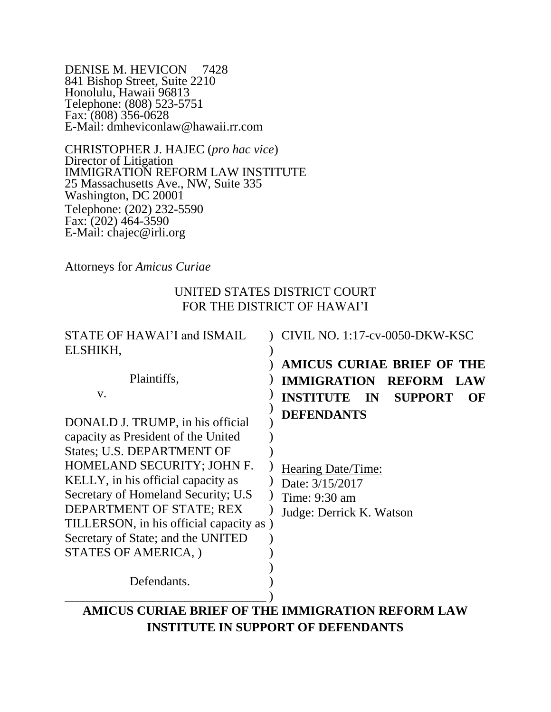DENISE M. HEVICON 7428 841 Bishop Street, Suite 2210 Honolulu, Hawaii 96813 Telephone: (808) 523-5751 Fax: (808) 356-0628 E-Mail: dmheviconlaw@hawaii.rr.com

CHRISTOPHER J. HAJEC (*pro hac vice*) Director of Litigation IMMIGRATION REFORM LAW INSTITUTE 25 Massachusetts Ave., NW, Suite 335 Washington, DC 20001 Telephone: (202) 232-5590 Fax:  $(202)$  464-3590 E-Mail: chajec@irli.org

Attorneys for *Amicus Curiae*

## UNITED STATES DISTRICT COURT FOR THE DISTRICT OF HAWAI'I

| STATE OF HAWAI'I and ISMAIL                                                                                                                                                                                                                                                                                                                             | <b>CIVIL NO. 1:17-cv-0050-DKW-KSC</b>                                                                   |  |  |  |  |  |  |
|---------------------------------------------------------------------------------------------------------------------------------------------------------------------------------------------------------------------------------------------------------------------------------------------------------------------------------------------------------|---------------------------------------------------------------------------------------------------------|--|--|--|--|--|--|
| ELSHIKH,                                                                                                                                                                                                                                                                                                                                                |                                                                                                         |  |  |  |  |  |  |
|                                                                                                                                                                                                                                                                                                                                                         | <b>AMICUS CURIAE BRIEF OF THE</b>                                                                       |  |  |  |  |  |  |
| Plaintiffs,                                                                                                                                                                                                                                                                                                                                             | <b>IMMIGRATION REFORM LAW</b>                                                                           |  |  |  |  |  |  |
| V.                                                                                                                                                                                                                                                                                                                                                      | <b>INSTITUTE IN</b><br><b>SUPPORT</b><br>OF                                                             |  |  |  |  |  |  |
| DONALD J. TRUMP, in his official<br>capacity as President of the United<br>States; U.S. DEPARTMENT OF<br>HOMELAND SECURITY; JOHN F.<br>KELLY, in his official capacity as<br>Secretary of Homeland Security; U.S.<br>DEPARTMENT OF STATE; REX<br>TILLERSON, in his official capacity as )<br>Secretary of State; and the UNITED<br>STATES OF AMERICA, ) | <b>DEFENDANTS</b><br>Hearing Date/Time:<br>Date: 3/15/2017<br>Time: 9:30 am<br>Judge: Derrick K. Watson |  |  |  |  |  |  |
| Defendants.                                                                                                                                                                                                                                                                                                                                             |                                                                                                         |  |  |  |  |  |  |
|                                                                                                                                                                                                                                                                                                                                                         | AMICUS CURIAE BRIEF OF THE IMMIGRATION REFORM LAW                                                       |  |  |  |  |  |  |
| $\mathbf{1}$ , $\mathbf{1}$                                                                                                                                                                                                                                                                                                                             |                                                                                                         |  |  |  |  |  |  |

**INSTITUTE IN SUPPORT OF DEFENDANTS**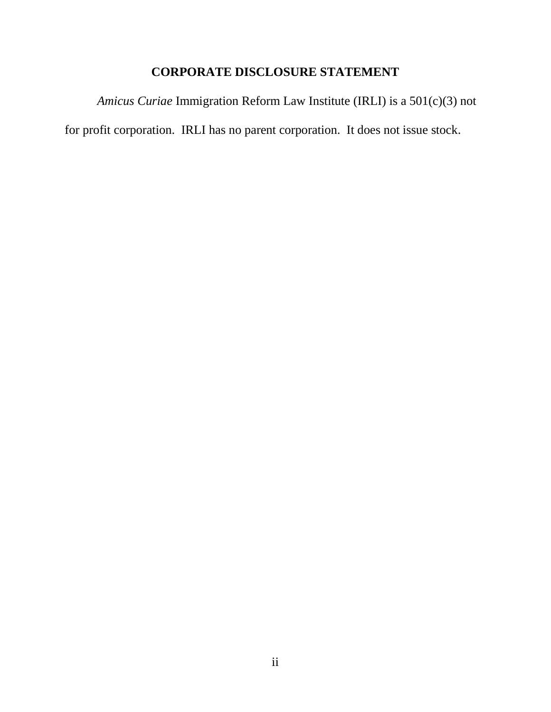# **CORPORATE DISCLOSURE STATEMENT**

*Amicus Curiae* Immigration Reform Law Institute (IRLI) is a 501(c)(3) not for profit corporation. IRLI has no parent corporation. It does not issue stock.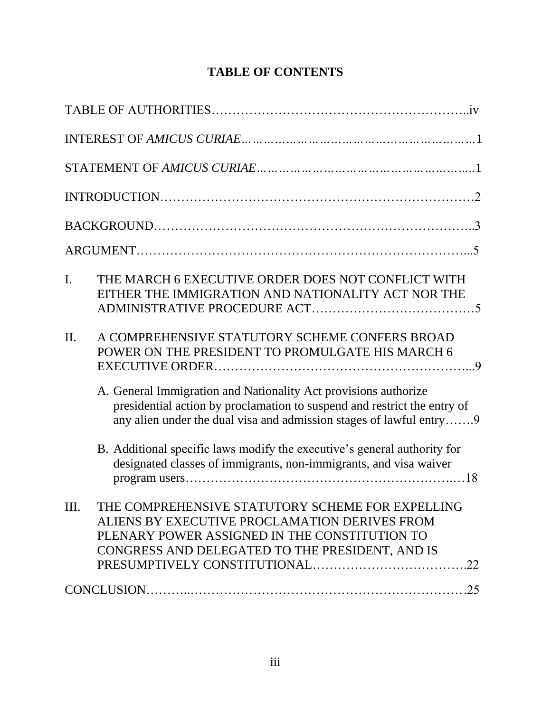# **TABLE OF CONTENTS**

| THE MARCH 6 EXECUTIVE ORDER DOES NOT CONFLICT WITH<br>$\mathbf{I}$ .<br>EITHER THE IMMIGRATION AND NATIONALITY ACT NOR THE                                                                                         |  |
|--------------------------------------------------------------------------------------------------------------------------------------------------------------------------------------------------------------------|--|
| A COMPREHENSIVE STATUTORY SCHEME CONFERS BROAD<br>II.<br>POWER ON THE PRESIDENT TO PROMULGATE HIS MARCH 6                                                                                                          |  |
| A. General Immigration and Nationality Act provisions authorize<br>presidential action by proclamation to suspend and restrict the entry of<br>any alien under the dual visa and admission stages of lawful entry9 |  |
| B. Additional specific laws modify the executive's general authority for<br>designated classes of immigrants, non-immigrants, and visa waiver                                                                      |  |
| THE COMPREHENSIVE STATUTORY SCHEME FOR EXPELLING<br>Ш.<br>ALIENS BY EXECUTIVE PROCLAMATION DERIVES FROM<br>PLENARY POWER ASSIGNED IN THE CONSTITUTION TO<br>CONGRESS AND DELEGATED TO THE PRESIDENT, AND IS        |  |
|                                                                                                                                                                                                                    |  |
|                                                                                                                                                                                                                    |  |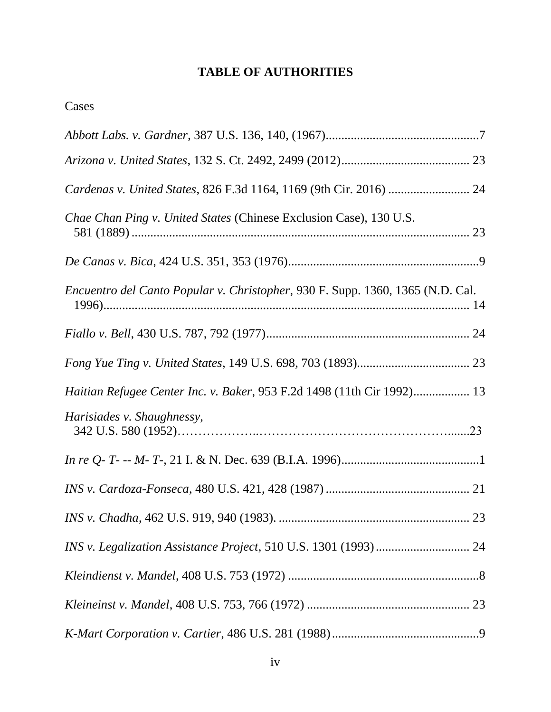## **TABLE OF AUTHORITIES**

| <i>Chae Chan Ping v. United States (Chinese Exclusion Case), 130 U.S.</i>             |
|---------------------------------------------------------------------------------------|
|                                                                                       |
| <i>Encuentro del Canto Popular v. Christopher, 930 F. Supp. 1360, 1365 (N.D. Cal.</i> |
|                                                                                       |
|                                                                                       |
| Haitian Refugee Center Inc. v. Baker, 953 F.2d 1498 (11th Cir 1992) 13                |
| Harisiades v. Shaughnessy,                                                            |
|                                                                                       |
|                                                                                       |
|                                                                                       |
|                                                                                       |
|                                                                                       |
|                                                                                       |
|                                                                                       |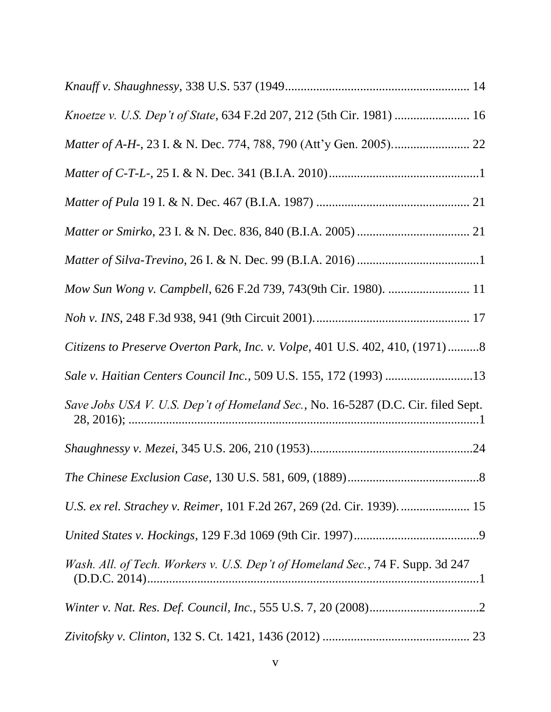| Mow Sun Wong v. Campbell, 626 F.2d 739, 743(9th Cir. 1980).  11                  |
|----------------------------------------------------------------------------------|
|                                                                                  |
| Citizens to Preserve Overton Park, Inc. v. Volpe, 401 U.S. 402, 410, (1971)8     |
| Sale v. Haitian Centers Council Inc., 509 U.S. 155, 172 (1993) 13                |
| Save Jobs USA V. U.S. Dep't of Homeland Sec., No. 16-5287 (D.C. Cir. filed Sept. |
|                                                                                  |
|                                                                                  |
| U.S. ex rel. Strachey v. Reimer, 101 F.2d 267, 269 (2d. Cir. 1939).  15          |
|                                                                                  |
| Wash. All. of Tech. Workers v. U.S. Dep't of Homeland Sec., 74 F. Supp. 3d 247   |
|                                                                                  |
|                                                                                  |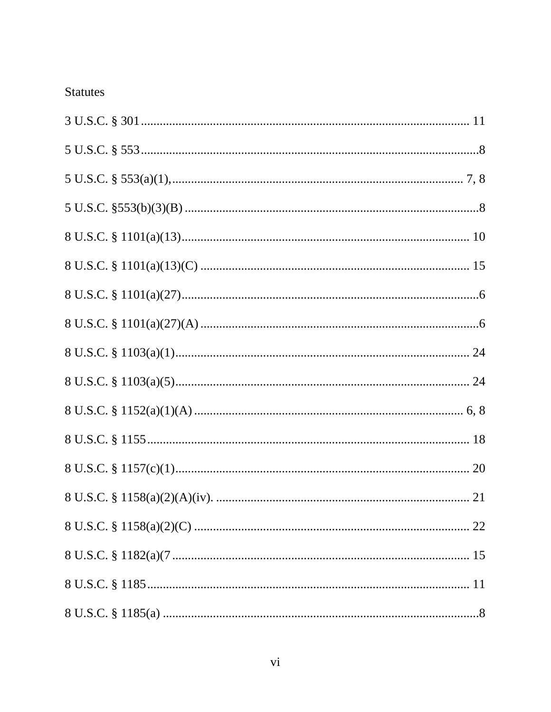# Statutes

| 8 U.S.C. $\frac{101(a)(27)(A) \dots (100)(27)}{20(a-1)(a-1)}$ |
|---------------------------------------------------------------|
|                                                               |
|                                                               |
|                                                               |
|                                                               |
|                                                               |
|                                                               |
|                                                               |
|                                                               |
|                                                               |
|                                                               |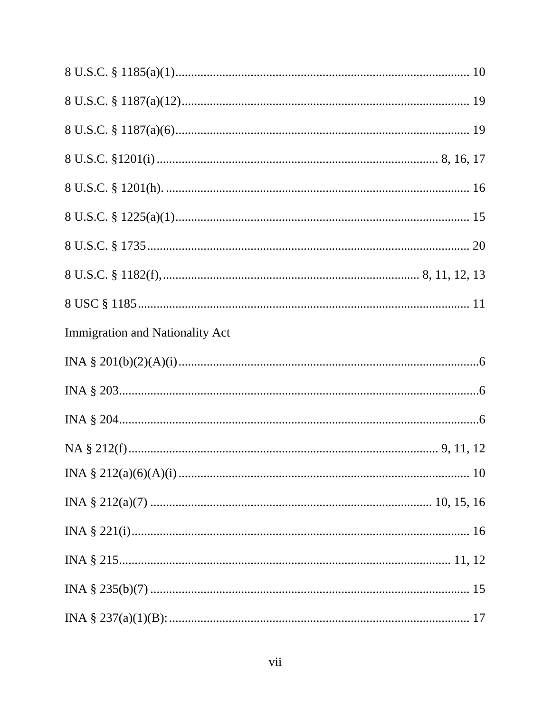| Immigration and Nationality Act |  |
|---------------------------------|--|
|                                 |  |
|                                 |  |
|                                 |  |
|                                 |  |
|                                 |  |
|                                 |  |
|                                 |  |
|                                 |  |
|                                 |  |
|                                 |  |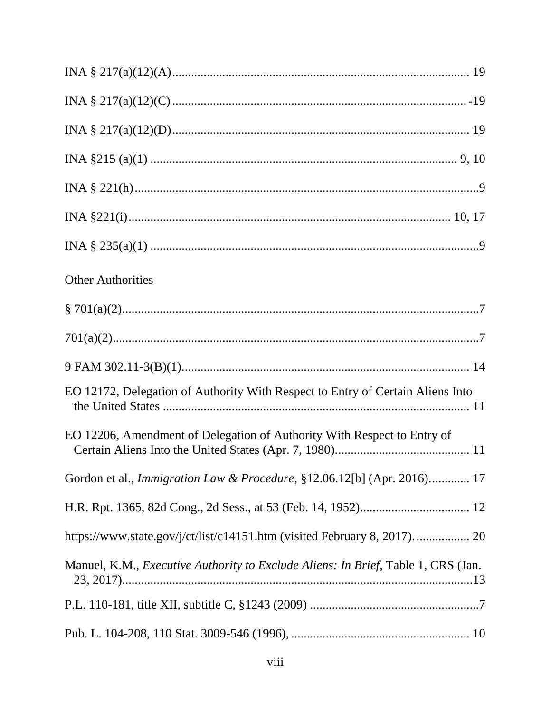| <b>Other Authorities</b>                                                                  |
|-------------------------------------------------------------------------------------------|
|                                                                                           |
|                                                                                           |
|                                                                                           |
| EO 12172, Delegation of Authority With Respect to Entry of Certain Aliens Into            |
| EO 12206, Amendment of Delegation of Authority With Respect to Entry of                   |
| Gordon et al., <i>Immigration Law &amp; Procedure</i> , §12.06.12[b] (Apr. 2016) 17       |
|                                                                                           |
| https://www.state.gov/j/ct/list/c14151.htm (visited February 8, 2017) 20                  |
| Manuel, K.M., <i>Executive Authority to Exclude Aliens: In Brief</i> , Table 1, CRS (Jan. |
|                                                                                           |
|                                                                                           |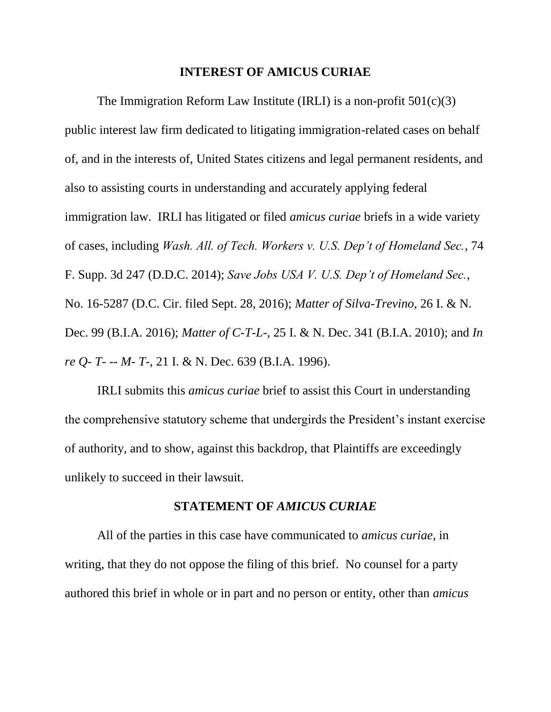#### **INTEREST OF AMICUS CURIAE**

The Immigration Reform Law Institute (IRLI) is a non-profit  $501(c)(3)$ public interest law firm dedicated to litigating immigration-related cases on behalf of, and in the interests of, United States citizens and legal permanent residents, and also to assisting courts in understanding and accurately applying federal immigration law. IRLI has litigated or filed *amicus curiae* briefs in a wide variety of cases, including *Wash. All. of Tech. Workers v. U.S. Dep't of Homeland Sec.*, 74 F. Supp. 3d 247 (D.D.C. 2014); *Save Jobs USA V. U.S. Dep't of Homeland Sec.*, No. 16-5287 (D.C. Cir. filed Sept. 28, 2016); *Matter of Silva-Trevino*, 26 I. & N. Dec. 99 (B.I.A. 2016); *Matter of C-T-L-*, 25 I. & N. Dec. 341 (B.I.A. 2010); and *In re Q- T- -- M- T-*, 21 I. & N. Dec. 639 (B.I.A. 1996).

IRLI submits this *amicus curiae* brief to assist this Court in understanding the comprehensive statutory scheme that undergirds the President's instant exercise of authority, and to show, against this backdrop, that Plaintiffs are exceedingly unlikely to succeed in their lawsuit.

#### **STATEMENT OF** *AMICUS CURIAE*

All of the parties in this case have communicated to *amicus curiae*, in writing, that they do not oppose the filing of this brief. No counsel for a party authored this brief in whole or in part and no person or entity, other than *amicus*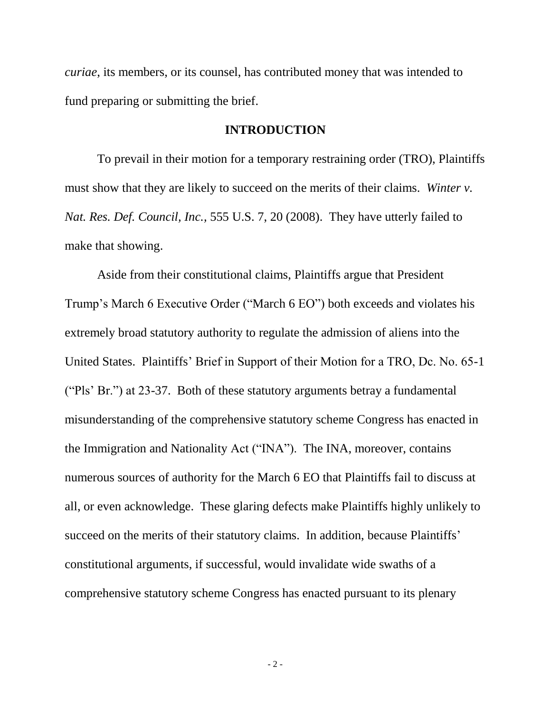*curiae*, its members, or its counsel, has contributed money that was intended to fund preparing or submitting the brief.

#### **INTRODUCTION**

To prevail in their motion for a temporary restraining order (TRO), Plaintiffs must show that they are likely to succeed on the merits of their claims. *Winter v. Nat. Res. Def. Council, Inc.,* 555 U.S. 7, 20 (2008). They have utterly failed to make that showing.

Aside from their constitutional claims, Plaintiffs argue that President Trump's March 6 Executive Order ("March 6 EO") both exceeds and violates his extremely broad statutory authority to regulate the admission of aliens into the United States. Plaintiffs' Brief in Support of their Motion for a TRO, Dc. No. 65-1 ("Pls' Br.") at 23-37. Both of these statutory arguments betray a fundamental misunderstanding of the comprehensive statutory scheme Congress has enacted in the Immigration and Nationality Act ("INA"). The INA, moreover, contains numerous sources of authority for the March 6 EO that Plaintiffs fail to discuss at all, or even acknowledge. These glaring defects make Plaintiffs highly unlikely to succeed on the merits of their statutory claims. In addition, because Plaintiffs' constitutional arguments, if successful, would invalidate wide swaths of a comprehensive statutory scheme Congress has enacted pursuant to its plenary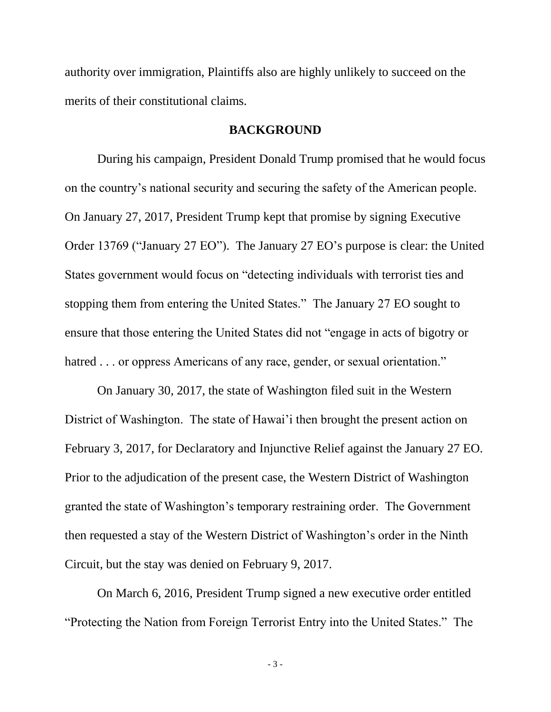authority over immigration, Plaintiffs also are highly unlikely to succeed on the merits of their constitutional claims.

#### **BACKGROUND**

During his campaign, President Donald Trump promised that he would focus on the country's national security and securing the safety of the American people. On January 27, 2017, President Trump kept that promise by signing Executive Order 13769 ("January 27 EO"). The January 27 EO's purpose is clear: the United States government would focus on "detecting individuals with terrorist ties and stopping them from entering the United States." The January 27 EO sought to ensure that those entering the United States did not "engage in acts of bigotry or hatred . . . or oppress Americans of any race, gender, or sexual orientation."

On January 30, 2017, the state of Washington filed suit in the Western District of Washington. The state of Hawai'i then brought the present action on February 3, 2017, for Declaratory and Injunctive Relief against the January 27 EO. Prior to the adjudication of the present case, the Western District of Washington granted the state of Washington's temporary restraining order. The Government then requested a stay of the Western District of Washington's order in the Ninth Circuit, but the stay was denied on February 9, 2017.

On March 6, 2016, President Trump signed a new executive order entitled "Protecting the Nation from Foreign Terrorist Entry into the United States." The

- 3 -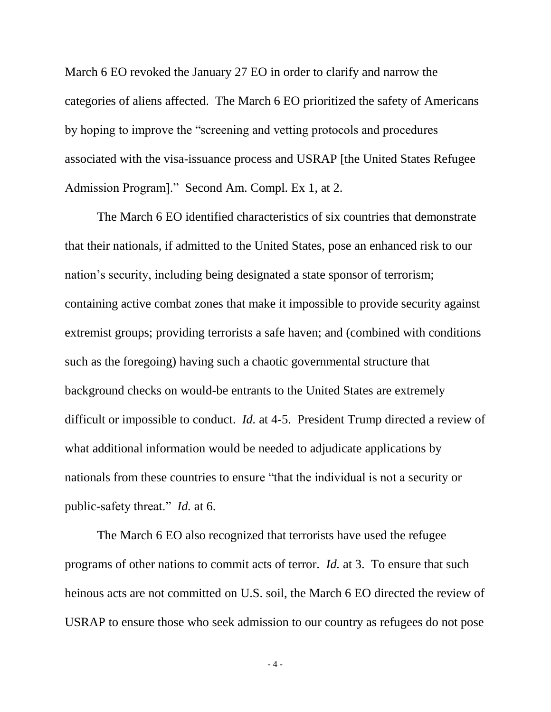March 6 EO revoked the January 27 EO in order to clarify and narrow the categories of aliens affected. The March 6 EO prioritized the safety of Americans by hoping to improve the "screening and vetting protocols and procedures associated with the visa-issuance process and USRAP [the United States Refugee Admission Program]." Second Am. Compl. Ex 1, at 2.

The March 6 EO identified characteristics of six countries that demonstrate that their nationals, if admitted to the United States, pose an enhanced risk to our nation's security, including being designated a state sponsor of terrorism; containing active combat zones that make it impossible to provide security against extremist groups; providing terrorists a safe haven; and (combined with conditions such as the foregoing) having such a chaotic governmental structure that background checks on would-be entrants to the United States are extremely difficult or impossible to conduct. *Id.* at 4-5. President Trump directed a review of what additional information would be needed to adjudicate applications by nationals from these countries to ensure "that the individual is not a security or public-safety threat." *Id.* at 6.

The March 6 EO also recognized that terrorists have used the refugee programs of other nations to commit acts of terror. *Id.* at 3. To ensure that such heinous acts are not committed on U.S. soil, the March 6 EO directed the review of USRAP to ensure those who seek admission to our country as refugees do not pose

- 4 -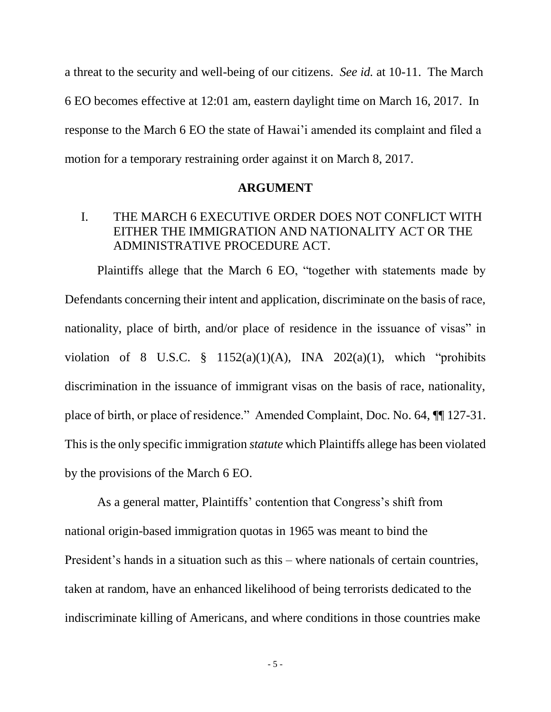a threat to the security and well-being of our citizens. *See id.* at 10-11. The March 6 EO becomes effective at 12:01 am, eastern daylight time on March 16, 2017. In response to the March 6 EO the state of Hawai'i amended its complaint and filed a motion for a temporary restraining order against it on March 8, 2017.

#### **ARGUMENT**

### I. THE MARCH 6 EXECUTIVE ORDER DOES NOT CONFLICT WITH EITHER THE IMMIGRATION AND NATIONALITY ACT OR THE ADMINISTRATIVE PROCEDURE ACT.

Plaintiffs allege that the March 6 EO, "together with statements made by Defendants concerning their intent and application, discriminate on the basis of race, nationality, place of birth, and/or place of residence in the issuance of visas" in violation of 8 U.S.C.  $\frac{8}{9}$  1152(a)(1)(A), INA 202(a)(1), which "prohibits discrimination in the issuance of immigrant visas on the basis of race, nationality, place of birth, or place of residence." Amended Complaint, Doc. No. 64, ¶¶ 127-31. This is the only specific immigration *statute* which Plaintiffs allege has been violated by the provisions of the March 6 EO.

As a general matter, Plaintiffs' contention that Congress's shift from national origin-based immigration quotas in 1965 was meant to bind the President's hands in a situation such as this – where nationals of certain countries, taken at random, have an enhanced likelihood of being terrorists dedicated to the indiscriminate killing of Americans, and where conditions in those countries make

- 5 -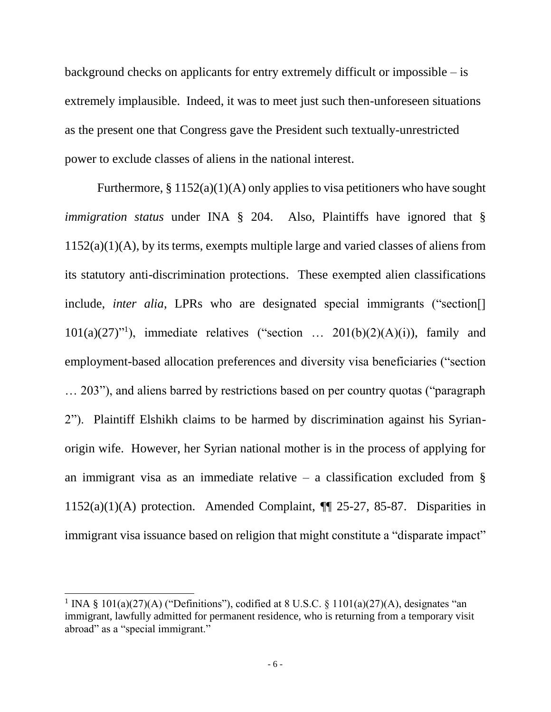background checks on applicants for entry extremely difficult or impossible – is extremely implausible. Indeed, it was to meet just such then-unforeseen situations as the present one that Congress gave the President such textually-unrestricted power to exclude classes of aliens in the national interest.

Furthermore,  $\S 1152(a)(1)(A)$  only applies to visa petitioners who have sought *immigration status* under INA § 204. Also, Plaintiffs have ignored that § 1152(a)(1)(A), by its terms, exempts multiple large and varied classes of aliens from its statutory anti-discrimination protections. These exempted alien classifications include, *inter alia*, LPRs who are designated special immigrants ("section[]  $101(a)(27)$ "<sup>1</sup>), immediate relatives ("section ...  $201(b)(2)(A)(i)$ ), family and employment-based allocation preferences and diversity visa beneficiaries ("section … 203"), and aliens barred by restrictions based on per country quotas ("paragraph 2"). Plaintiff Elshikh claims to be harmed by discrimination against his Syrianorigin wife. However, her Syrian national mother is in the process of applying for an immigrant visa as an immediate relative – a classification excluded from  $\S$ 1152(a)(1)(A) protection. Amended Complaint,  $\P$  25-27, 85-87. Disparities in immigrant visa issuance based on religion that might constitute a "disparate impact"

 $\overline{a}$ 

<sup>&</sup>lt;sup>1</sup> INA § 101(a)(27)(A) ("Definitions"), codified at 8 U.S.C. § 1101(a)(27)(A), designates "an immigrant, lawfully admitted for permanent residence, who is returning from a temporary visit abroad" as a "special immigrant."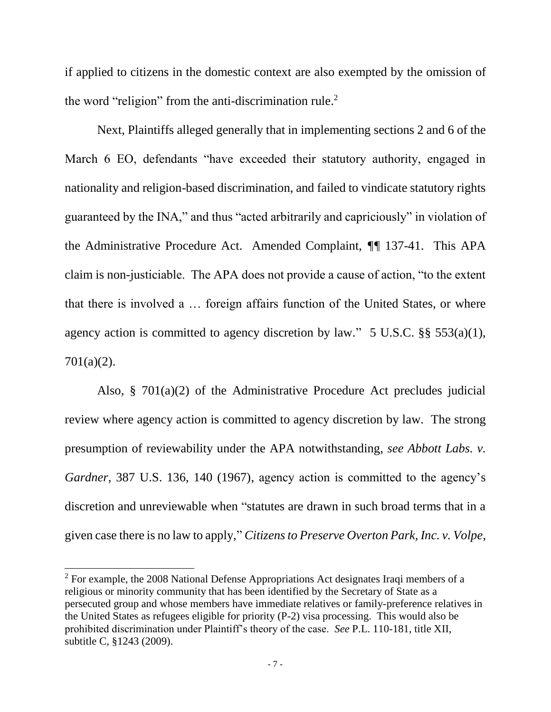if applied to citizens in the domestic context are also exempted by the omission of the word "religion" from the anti-discrimination rule.<sup>2</sup>

Next, Plaintiffs alleged generally that in implementing sections 2 and 6 of the March 6 EO, defendants "have exceeded their statutory authority, engaged in nationality and religion-based discrimination, and failed to vindicate statutory rights guaranteed by the INA," and thus "acted arbitrarily and capriciously" in violation of the Administrative Procedure Act. Amended Complaint, *¶¶* 137-41. This APA claim is non-justiciable. The APA does not provide a cause of action, "to the extent that there is involved a … foreign affairs function of the United States, or where agency action is committed to agency discretion by law."  $5 \text{ U.S.C.}$  §§  $553(a)(1)$ , 701(a)(2).

Also, § 701(a)(2) of the Administrative Procedure Act precludes judicial review where agency action is committed to agency discretion by law. The strong presumption of reviewability under the APA notwithstanding, *see Abbott Labs. v. Gardner*, 387 U.S. 136, 140 (1967), agency action is committed to the agency's discretion and unreviewable when "statutes are drawn in such broad terms that in a given case there is no law to apply," *Citizens to Preserve Overton Park, Inc. v. Volpe*,

l

 $2$  For example, the 2008 National Defense Appropriations Act designates Iraqi members of a religious or minority community that has been identified by the Secretary of State as a persecuted group and whose members have immediate relatives or family-preference relatives in the United States as refugees eligible for priority (P-2) visa processing. This would also be prohibited discrimination under Plaintiff's theory of the case. *See* P.L. 110-181, title XII, subtitle C, §1243 (2009).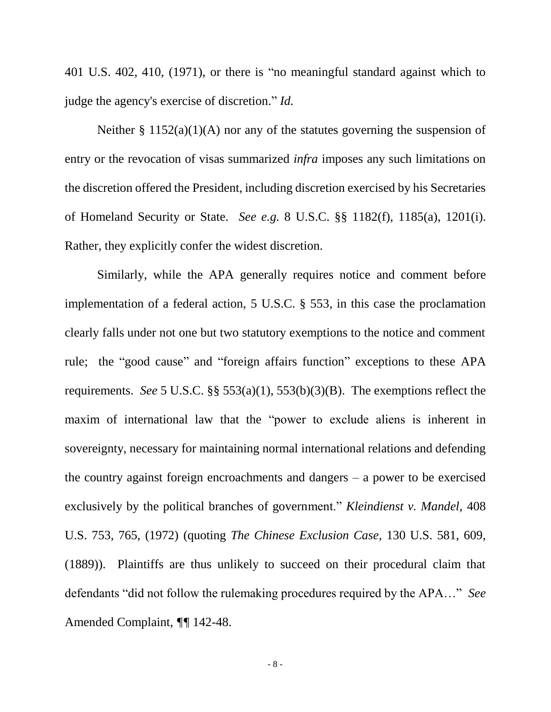401 U.S. 402, 410, (1971), or there is "no meaningful standard against which to judge the agency's exercise of discretion." *Id.*

Neither  $\S 1152(a)(1)(A)$  nor any of the statutes governing the suspension of entry or the revocation of visas summarized *infra* imposes any such limitations on the discretion offered the President, including discretion exercised by his Secretaries of Homeland Security or State. *See e.g.* 8 U.S.C. §§ 1182(f), 1185(a), 1201(i). Rather, they explicitly confer the widest discretion.

Similarly, while the APA generally requires notice and comment before implementation of a federal action, 5 U.S.C. § 553, in this case the proclamation clearly falls under not one but two statutory exemptions to the notice and comment rule; the "good cause" and "foreign affairs function" exceptions to these APA requirements. *See* 5 U.S.C. §§ 553(a)(1), 553(b)(3)(B). The exemptions reflect the maxim of international law that the "power to exclude aliens is inherent in sovereignty, necessary for maintaining normal international relations and defending the country against foreign encroachments and dangers – a power to be exercised exclusively by the political branches of government." *Kleindienst v. Mandel*, 408 U.S. 753, 765, (1972) (quoting *The Chinese Exclusion Case*, 130 U.S. 581, 609, (1889)). Plaintiffs are thus unlikely to succeed on their procedural claim that defendants "did not follow the rulemaking procedures required by the APA…" *See* Amended Complaint, *¶¶* 142-48.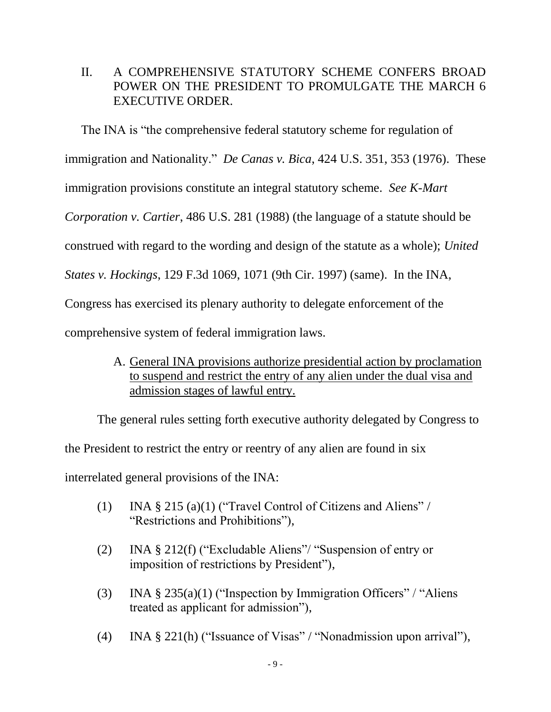## II. A COMPREHENSIVE STATUTORY SCHEME CONFERS BROAD POWER ON THE PRESIDENT TO PROMULGATE THE MARCH 6 EXECUTIVE ORDER.

The INA is "the comprehensive federal statutory scheme for regulation of immigration and Nationality." *De Canas v. Bica*, 424 U.S. 351, 353 (1976). These immigration provisions constitute an integral statutory scheme. *See K-Mart Corporation v. Cartier*, 486 U.S. 281 (1988) (the language of a statute should be construed with regard to the wording and design of the statute as a whole); *United States v. Hockings*, 129 F.3d 1069, 1071 (9th Cir. 1997) (same). In the INA, Congress has exercised its plenary authority to delegate enforcement of the comprehensive system of federal immigration laws.

> A. General INA provisions authorize presidential action by proclamation to suspend and restrict the entry of any alien under the dual visa and admission stages of lawful entry.

The general rules setting forth executive authority delegated by Congress to the President to restrict the entry or reentry of any alien are found in six interrelated general provisions of the INA:

- (1) INA § 215 (a)(1) ("Travel Control of Citizens and Aliens" / "Restrictions and Prohibitions"),
- (2) INA § 212(f) ("Excludable Aliens"/ "Suspension of entry or imposition of restrictions by President"),
- (3) INA  $\S 235(a)(1)$  ("Inspection by Immigration Officers" / "Aliens" treated as applicant for admission"),
- (4) INA § 221(h) ("Issuance of Visas" / "Nonadmission upon arrival"),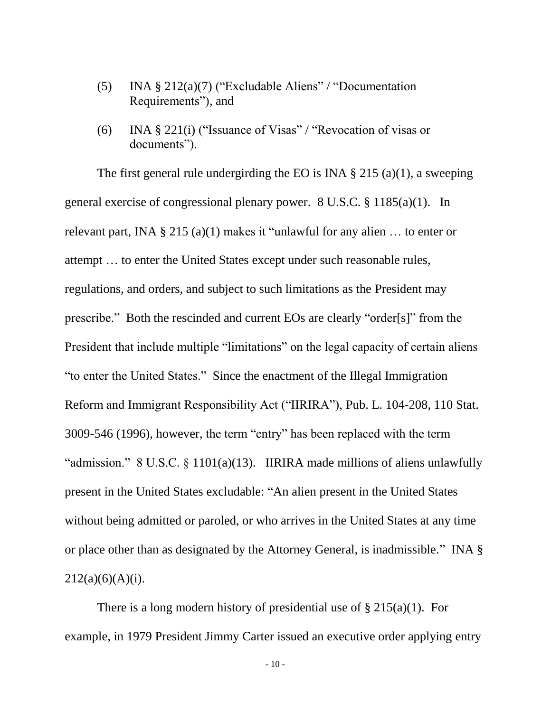- (5) INA § 212(a)(7) ("Excludable Aliens" / "Documentation Requirements"), and
- (6) INA § 221(i) ("Issuance of Visas" / "Revocation of visas or documents").

The first general rule undergirding the EO is INA  $\S 215$  (a)(1), a sweeping general exercise of congressional plenary power. 8 U.S.C. § 1185(a)(1). In relevant part, INA  $\S 215$  (a)(1) makes it "unlawful for any alien ... to enter or attempt … to enter the United States except under such reasonable rules, regulations, and orders, and subject to such limitations as the President may prescribe." Both the rescinded and current EOs are clearly "order[s]" from the President that include multiple "limitations" on the legal capacity of certain aliens "to enter the United States." Since the enactment of the Illegal Immigration Reform and Immigrant Responsibility Act ("IIRIRA"), Pub. L. 104-208, 110 Stat. 3009-546 (1996), however, the term "entry" has been replaced with the term "admission." 8 U.S.C. § 1101(a)(13). IIRIRA made millions of aliens unlawfully present in the United States excludable: "An alien present in the United States without being admitted or paroled, or who arrives in the United States at any time or place other than as designated by the Attorney General, is inadmissible." INA §  $212(a)(6)(A)(i)$ .

There is a long modern history of presidential use of  $\S 215(a)(1)$ . For example, in 1979 President Jimmy Carter issued an executive order applying entry

- 10 -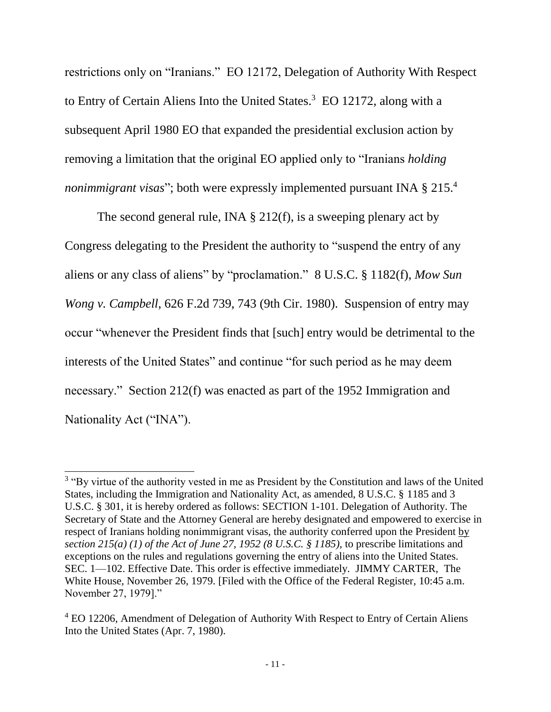restrictions only on "Iranians." EO 12172, Delegation of Authority With Respect to Entry of Certain Aliens Into the United States. <sup>3</sup> EO 12172, along with a subsequent April 1980 EO that expanded the presidential exclusion action by removing a limitation that the original EO applied only to "Iranians *holding nonimmigrant visas*"; both were expressly implemented pursuant INA § 215. 4

The second general rule, INA § 212(f), is a sweeping plenary act by Congress delegating to the President the authority to "suspend the entry of any aliens or any class of aliens" by "proclamation." 8 U.S.C. § 1182(f), *Mow Sun Wong v. Campbell*, 626 F.2d 739, 743 (9th Cir. 1980). Suspension of entry may occur "whenever the President finds that [such] entry would be detrimental to the interests of the United States" and continue "for such period as he may deem necessary." Section 212(f) was enacted as part of the 1952 Immigration and Nationality Act ("INA").

 $\overline{a}$ 

<sup>&</sup>lt;sup>3</sup> "By virtue of the authority vested in me as President by the Constitution and laws of the United States, including the Immigration and Nationality Act, as amended, 8 U.S.C. § 1185 and 3 U.S.C. § 301, it is hereby ordered as follows: SECTION 1-101. Delegation of Authority. The Secretary of State and the Attorney General are hereby designated and empowered to exercise in respect of Iranians holding nonimmigrant visas, the authority conferred upon the President by *section 215(a) (1) of the Act of June 27, 1952 (8 U.S.C. § 1185),* to prescribe limitations and exceptions on the rules and regulations governing the entry of aliens into the United States. SEC. 1—102. Effective Date. This order is effective immediately. JIMMY CARTER, The White House, November 26, 1979. [Filed with the Office of the Federal Register, 10:45 a.m. November 27, 1979]."

<sup>&</sup>lt;sup>4</sup> EO 12206, Amendment of Delegation of Authority With Respect to Entry of Certain Aliens Into the United States (Apr. 7, 1980).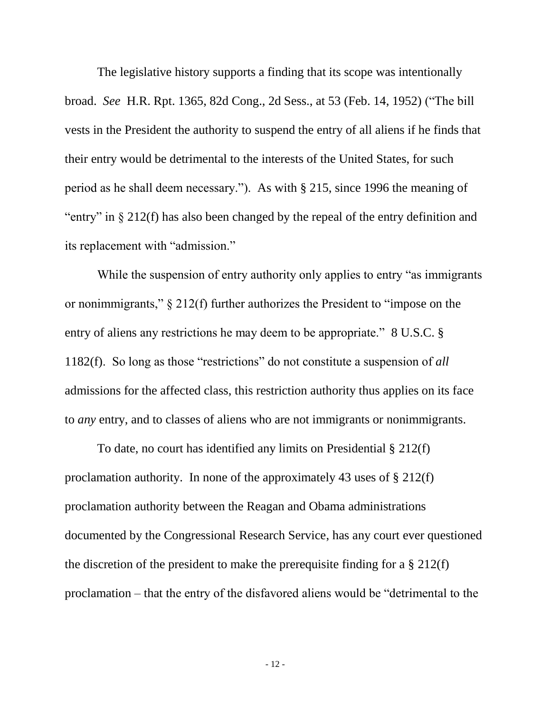The legislative history supports a finding that its scope was intentionally broad. *See* H.R. Rpt. 1365, 82d Cong., 2d Sess., at 53 (Feb. 14, 1952) ("The bill vests in the President the authority to suspend the entry of all aliens if he finds that their entry would be detrimental to the interests of the United States, for such period as he shall deem necessary."). As with § 215, since 1996 the meaning of "entry" in § 212(f) has also been changed by the repeal of the entry definition and its replacement with "admission."

While the suspension of entry authority only applies to entry "as immigrants" or nonimmigrants," § 212(f) further authorizes the President to "impose on the entry of aliens any restrictions he may deem to be appropriate." 8 U.S.C. § 1182(f). So long as those "restrictions" do not constitute a suspension of *all* admissions for the affected class, this restriction authority thus applies on its face to *any* entry, and to classes of aliens who are not immigrants or nonimmigrants.

To date, no court has identified any limits on Presidential § 212(f) proclamation authority. In none of the approximately 43 uses of § 212(f) proclamation authority between the Reagan and Obama administrations documented by the Congressional Research Service, has any court ever questioned the discretion of the president to make the prerequisite finding for a § 212(f) proclamation – that the entry of the disfavored aliens would be "detrimental to the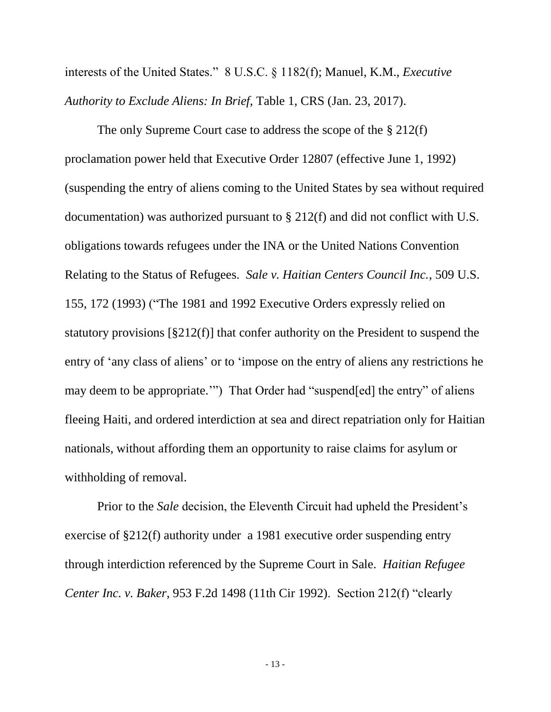interests of the United States." 8 U.S.C. § 1182(f); Manuel, K.M., *Executive Authority to Exclude Aliens: In Brief*, Table 1, CRS (Jan. 23, 2017).

The only Supreme Court case to address the scope of the § 212(f) proclamation power held that Executive Order 12807 (effective June 1, 1992) (suspending the entry of aliens coming to the United States by sea without required documentation) was authorized pursuant to § 212(f) and did not conflict with U.S. obligations towards refugees under the INA or the United Nations Convention Relating to the Status of Refugees. *Sale v. Haitian Centers Council Inc.*, 509 U.S. 155, 172 (1993) ("The 1981 and 1992 Executive Orders expressly relied on statutory provisions [§212(f)] that confer authority on the President to suspend the entry of 'any class of aliens' or to 'impose on the entry of aliens any restrictions he may deem to be appropriate.'") That Order had "suspend[ed] the entry" of aliens fleeing Haiti, and ordered interdiction at sea and direct repatriation only for Haitian nationals, without affording them an opportunity to raise claims for asylum or withholding of removal.

Prior to the *Sale* decision, the Eleventh Circuit had upheld the President's exercise of §212(f) authority under a 1981 executive order suspending entry through interdiction referenced by the Supreme Court in Sale. *Haitian Refugee Center Inc. v. Baker*, 953 F.2d 1498 (11th Cir 1992). Section 212(f) "clearly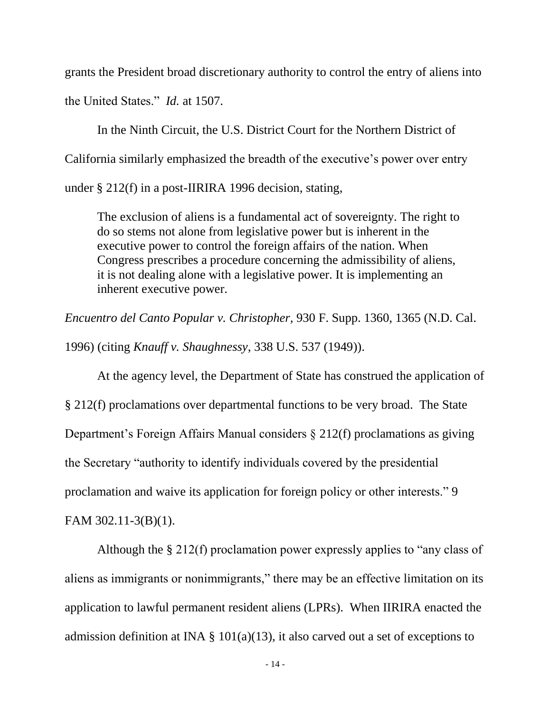grants the President broad discretionary authority to control the entry of aliens into the United States." *Id.* at 1507.

In the Ninth Circuit, the U.S. District Court for the Northern District of California similarly emphasized the breadth of the executive's power over entry under § 212(f) in a post-IIRIRA 1996 decision, stating,

The exclusion of aliens is a fundamental act of sovereignty. The right to do so stems not alone from legislative power but is inherent in the executive power to control the foreign affairs of the nation. When Congress prescribes a procedure concerning the admissibility of aliens, it is not dealing alone with a legislative power. It is implementing an inherent executive power.

*Encuentro del Canto Popular v. Christopher,* 930 F. Supp. 1360, 1365 (N.D. Cal.

1996) (citing *Knauff v. Shaughnessy*, 338 U.S. 537 (1949)).

At the agency level, the Department of State has construed the application of § 212(f) proclamations over departmental functions to be very broad. The State Department's Foreign Affairs Manual considers § 212(f) proclamations as giving the Secretary "authority to identify individuals covered by the presidential proclamation and waive its application for foreign policy or other interests." 9

FAM 302.11-3(B)(1).

Although the § 212(f) proclamation power expressly applies to "any class of aliens as immigrants or nonimmigrants," there may be an effective limitation on its application to lawful permanent resident aliens (LPRs). When IIRIRA enacted the admission definition at INA  $\S$  101(a)(13), it also carved out a set of exceptions to

- 14 -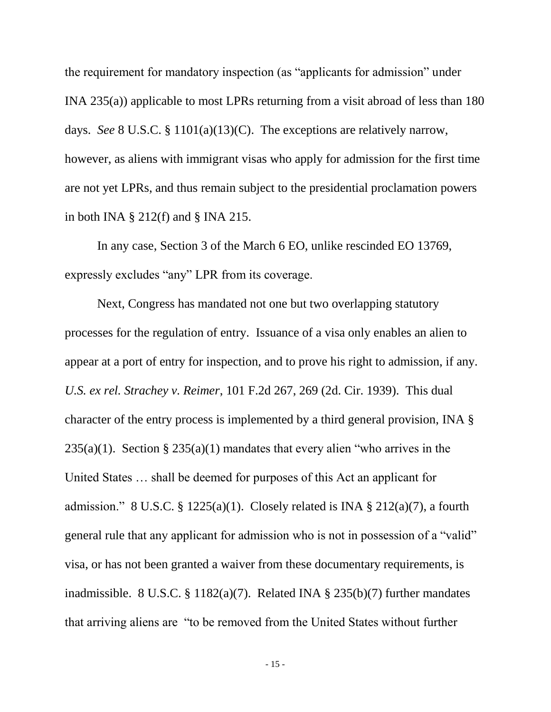the requirement for mandatory inspection (as "applicants for admission" under INA 235(a)) applicable to most LPRs returning from a visit abroad of less than 180 days. *See* 8 U.S.C. § 1101(a)(13)(C). The exceptions are relatively narrow, however, as aliens with immigrant visas who apply for admission for the first time are not yet LPRs, and thus remain subject to the presidential proclamation powers in both INA  $\S 212(f)$  and  $\S$  INA 215.

In any case, Section 3 of the March 6 EO, unlike rescinded EO 13769, expressly excludes "any" LPR from its coverage.

Next, Congress has mandated not one but two overlapping statutory processes for the regulation of entry. Issuance of a visa only enables an alien to appear at a port of entry for inspection, and to prove his right to admission, if any. *U.S. ex rel. Strachey v. Reimer*, 101 F.2d 267, 269 (2d. Cir. 1939). This dual character of the entry process is implemented by a third general provision, INA §  $235(a)(1)$ . Section §  $235(a)(1)$  mandates that every alien "who arrives in the United States … shall be deemed for purposes of this Act an applicant for admission." 8 U.S.C. § 1225(a)(1). Closely related is INA § 212(a)(7), a fourth general rule that any applicant for admission who is not in possession of a "valid" visa, or has not been granted a waiver from these documentary requirements, is inadmissible. 8 U.S.C. § 1182(a)(7). Related INA § 235(b)(7) further mandates that arriving aliens are "to be removed from the United States without further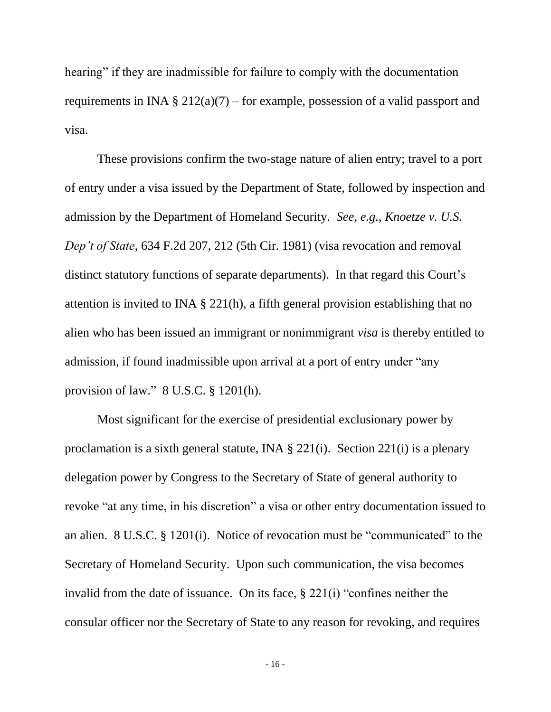hearing" if they are inadmissible for failure to comply with the documentation requirements in INA  $\S 212(a)(7)$  – for example, possession of a valid passport and visa.

These provisions confirm the two-stage nature of alien entry; travel to a port of entry under a visa issued by the Department of State, followed by inspection and admission by the Department of Homeland Security. *See, e.g.*, *Knoetze v. U.S. Dep't of State*, 634 F.2d 207, 212 (5th Cir. 1981) (visa revocation and removal distinct statutory functions of separate departments). In that regard this Court's attention is invited to INA § 221(h), a fifth general provision establishing that no alien who has been issued an immigrant or nonimmigrant *visa* is thereby entitled to admission, if found inadmissible upon arrival at a port of entry under "any provision of law." 8 U.S.C. § 1201(h).

Most significant for the exercise of presidential exclusionary power by proclamation is a sixth general statute, INA § 221(i). Section 221(i) is a plenary delegation power by Congress to the Secretary of State of general authority to revoke "at any time, in his discretion" a visa or other entry documentation issued to an alien. 8 U.S.C. § 1201(i). Notice of revocation must be "communicated" to the Secretary of Homeland Security. Upon such communication, the visa becomes invalid from the date of issuance. On its face, § 221(i) "confines neither the consular officer nor the Secretary of State to any reason for revoking, and requires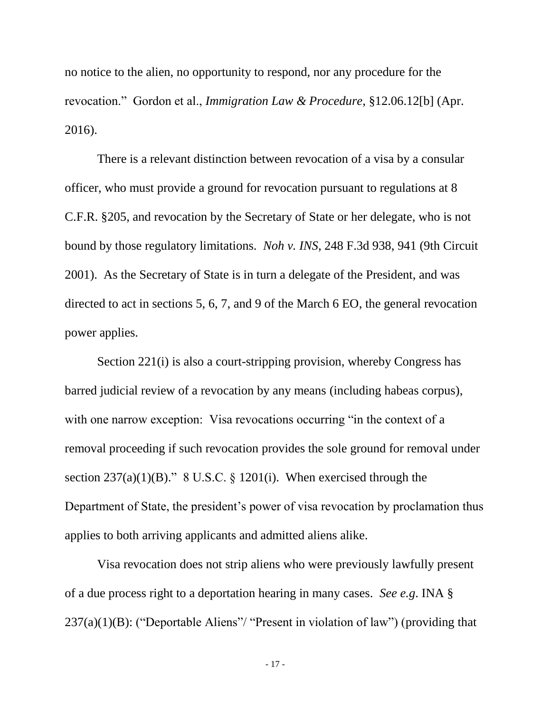no notice to the alien, no opportunity to respond, nor any procedure for the revocation." Gordon et al., *Immigration Law & Procedure*, §12.06.12[b] (Apr. 2016).

There is a relevant distinction between revocation of a visa by a consular officer, who must provide a ground for revocation pursuant to regulations at 8 C.F.R. §205, and revocation by the Secretary of State or her delegate, who is not bound by those regulatory limitations. *Noh v. INS*, 248 F.3d 938, 941 (9th Circuit 2001). As the Secretary of State is in turn a delegate of the President, and was directed to act in sections 5, 6, 7, and 9 of the March 6 EO, the general revocation power applies.

Section 221(i) is also a court-stripping provision, whereby Congress has barred judicial review of a revocation by any means (including habeas corpus), with one narrow exception: Visa revocations occurring "in the context of a removal proceeding if such revocation provides the sole ground for removal under section  $237(a)(1)(B)$ ." 8 U.S.C. § 1201(i). When exercised through the Department of State, the president's power of visa revocation by proclamation thus applies to both arriving applicants and admitted aliens alike.

Visa revocation does not strip aliens who were previously lawfully present of a due process right to a deportation hearing in many cases. *See e.g*. INA §  $237(a)(1)(B)$ : ("Deportable Aliens"/ "Present in violation of law") (providing that

- 17 -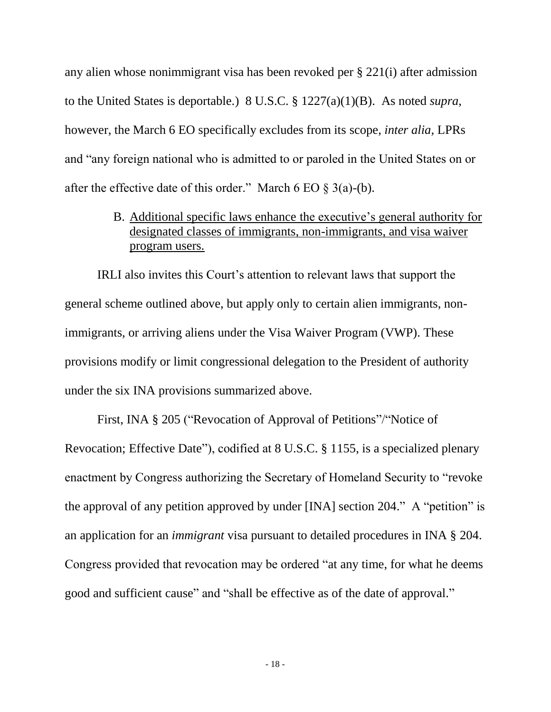any alien whose nonimmigrant visa has been revoked per § 221(i) after admission to the United States is deportable.) 8 U.S.C. § 1227(a)(1)(B). As noted *supra*, however, the March 6 EO specifically excludes from its scope, *inter alia,* LPRs and "any foreign national who is admitted to or paroled in the United States on or after the effective date of this order." March 6 EO  $\S$  3(a)-(b).

> B. Additional specific laws enhance the executive's general authority for designated classes of immigrants, non-immigrants, and visa waiver program users.

IRLI also invites this Court's attention to relevant laws that support the general scheme outlined above, but apply only to certain alien immigrants, nonimmigrants, or arriving aliens under the Visa Waiver Program (VWP). These provisions modify or limit congressional delegation to the President of authority under the six INA provisions summarized above.

First, INA § 205 ("Revocation of Approval of Petitions"/"Notice of Revocation; Effective Date"), codified at 8 U.S.C. § 1155, is a specialized plenary enactment by Congress authorizing the Secretary of Homeland Security to "revoke the approval of any petition approved by under [INA] section 204." A "petition" is an application for an *immigrant* visa pursuant to detailed procedures in INA § 204. Congress provided that revocation may be ordered "at any time, for what he deems good and sufficient cause" and "shall be effective as of the date of approval."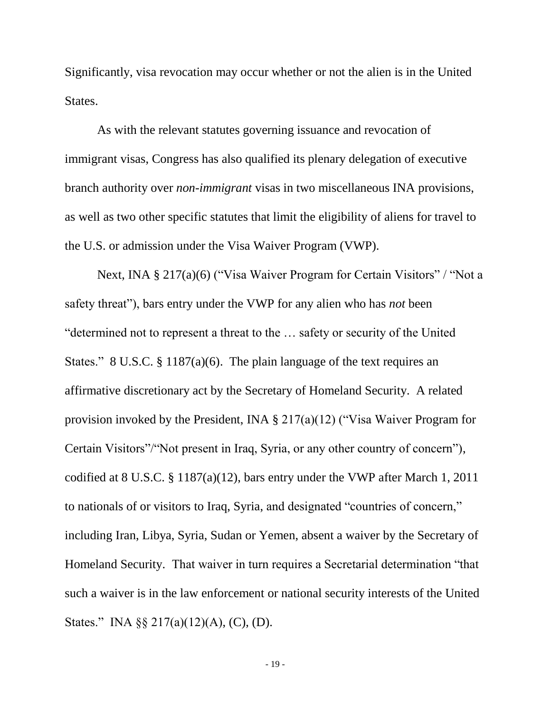Significantly, visa revocation may occur whether or not the alien is in the United States.

As with the relevant statutes governing issuance and revocation of immigrant visas, Congress has also qualified its plenary delegation of executive branch authority over *non-immigrant* visas in two miscellaneous INA provisions, as well as two other specific statutes that limit the eligibility of aliens for travel to the U.S. or admission under the Visa Waiver Program (VWP).

Next, INA § 217(a)(6) ("Visa Waiver Program for Certain Visitors" / "Not a safety threat"), bars entry under the VWP for any alien who has *not* been "determined not to represent a threat to the … safety or security of the United States." 8 U.S.C. § 1187(a)(6). The plain language of the text requires an affirmative discretionary act by the Secretary of Homeland Security. A related provision invoked by the President, INA § 217(a)(12) ("Visa Waiver Program for Certain Visitors"/"Not present in Iraq, Syria, or any other country of concern"), codified at 8 U.S.C. § 1187(a)(12), bars entry under the VWP after March 1, 2011 to nationals of or visitors to Iraq, Syria, and designated "countries of concern," including Iran, Libya, Syria, Sudan or Yemen, absent a waiver by the Secretary of Homeland Security. That waiver in turn requires a Secretarial determination "that such a waiver is in the law enforcement or national security interests of the United States." INA §§ 217(a)(12)(A), (C), (D).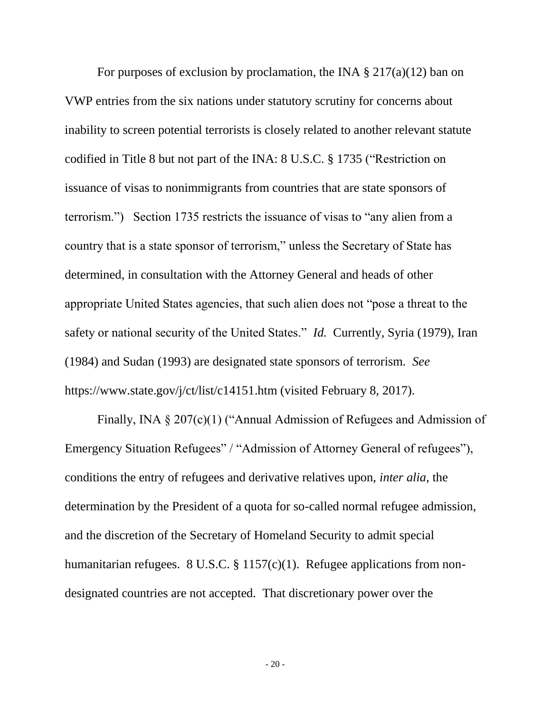For purposes of exclusion by proclamation, the INA  $\S 217(a)(12)$  ban on VWP entries from the six nations under statutory scrutiny for concerns about inability to screen potential terrorists is closely related to another relevant statute codified in Title 8 but not part of the INA: 8 U.S.C. § 1735 ("Restriction on issuance of visas to nonimmigrants from countries that are state sponsors of terrorism.") Section 1735 restricts the issuance of visas to "any alien from a country that is a state sponsor of terrorism," unless the Secretary of State has determined, in consultation with the Attorney General and heads of other appropriate United States agencies, that such alien does not "pose a threat to the safety or national security of the United States." *Id.* Currently, Syria (1979), Iran (1984) and Sudan (1993) are designated state sponsors of terrorism. *See*  https://www.state.gov/j/ct/list/c14151.htm (visited February 8, 2017).

Finally, INA § 207(c)(1) ("Annual Admission of Refugees and Admission of Emergency Situation Refugees" / "Admission of Attorney General of refugees"), conditions the entry of refugees and derivative relatives upon, *inter alia*, the determination by the President of a quota for so-called normal refugee admission, and the discretion of the Secretary of Homeland Security to admit special humanitarian refugees. 8 U.S.C. § 1157(c)(1). Refugee applications from nondesignated countries are not accepted. That discretionary power over the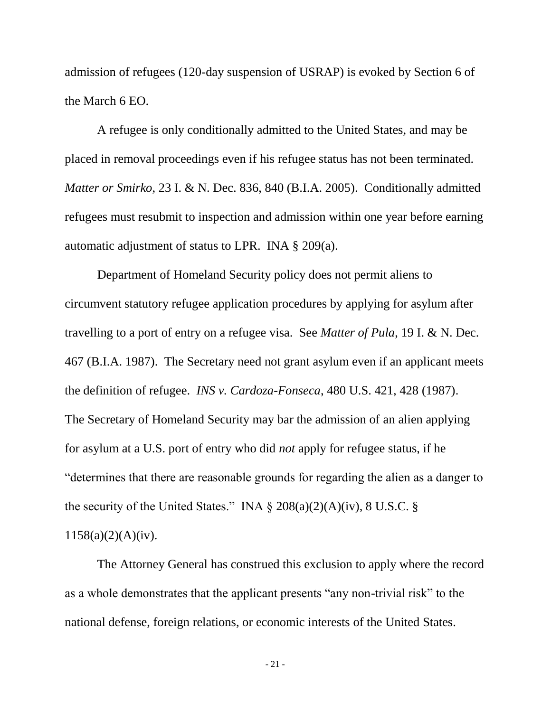admission of refugees (120-day suspension of USRAP) is evoked by Section 6 of the March 6 EO.

A refugee is only conditionally admitted to the United States, and may be placed in removal proceedings even if his refugee status has not been terminated. *Matter or Smirko*, 23 I. & N. Dec. 836, 840 (B.I.A. 2005). Conditionally admitted refugees must resubmit to inspection and admission within one year before earning automatic adjustment of status to LPR. INA § 209(a).

Department of Homeland Security policy does not permit aliens to circumvent statutory refugee application procedures by applying for asylum after travelling to a port of entry on a refugee visa. See *Matter of Pula*, 19 I. & N. Dec. 467 (B.I.A. 1987). The Secretary need not grant asylum even if an applicant meets the definition of refugee. *INS v. Cardoza-Fonseca*, 480 U.S. 421, 428 (1987). The Secretary of Homeland Security may bar the admission of an alien applying for asylum at a U.S. port of entry who did *not* apply for refugee status, if he "determines that there are reasonable grounds for regarding the alien as a danger to the security of the United States." INA  $\S$  208(a)(2)(A)(iv), 8 U.S.C.  $\S$  $1158(a)(2)(A)(iv).$ 

The Attorney General has construed this exclusion to apply where the record as a whole demonstrates that the applicant presents "any non-trivial risk" to the national defense, foreign relations, or economic interests of the United States.

- 21 -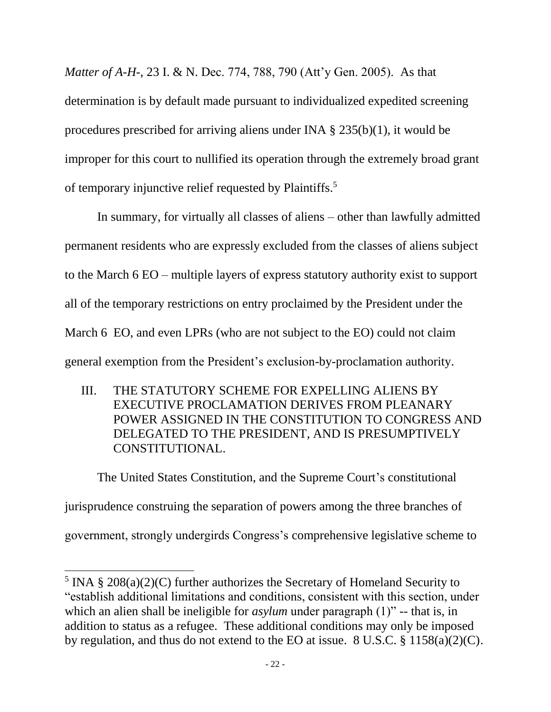*Matter of A-H-*, 23 I. & N. Dec. 774, 788, 790 (Att'y Gen. 2005). As that determination is by default made pursuant to individualized expedited screening procedures prescribed for arriving aliens under INA § 235(b)(1), it would be improper for this court to nullified its operation through the extremely broad grant of temporary injunctive relief requested by Plaintiffs.<sup>5</sup>

In summary, for virtually all classes of aliens – other than lawfully admitted permanent residents who are expressly excluded from the classes of aliens subject to the March 6 EO – multiple layers of express statutory authority exist to support all of the temporary restrictions on entry proclaimed by the President under the March 6 EO, and even LPRs (who are not subject to the EO) could not claim general exemption from the President's exclusion-by-proclamation authority.

III. THE STATUTORY SCHEME FOR EXPELLING ALIENS BY EXECUTIVE PROCLAMATION DERIVES FROM PLEANARY POWER ASSIGNED IN THE CONSTITUTION TO CONGRESS AND DELEGATED TO THE PRESIDENT, AND IS PRESUMPTIVELY CONSTITUTIONAL.

The United States Constitution, and the Supreme Court's constitutional jurisprudence construing the separation of powers among the three branches of government, strongly undergirds Congress's comprehensive legislative scheme to

 $\overline{a}$ 

<sup>&</sup>lt;sup>5</sup> INA § 208(a)(2)(C) further authorizes the Secretary of Homeland Security to "establish additional limitations and conditions, consistent with this section, under which an alien shall be ineligible for *asylum* under paragraph (1)" -- that is, in addition to status as a refugee. These additional conditions may only be imposed by regulation, and thus do not extend to the EO at issue. 8 U.S.C. § 1158(a)(2)(C).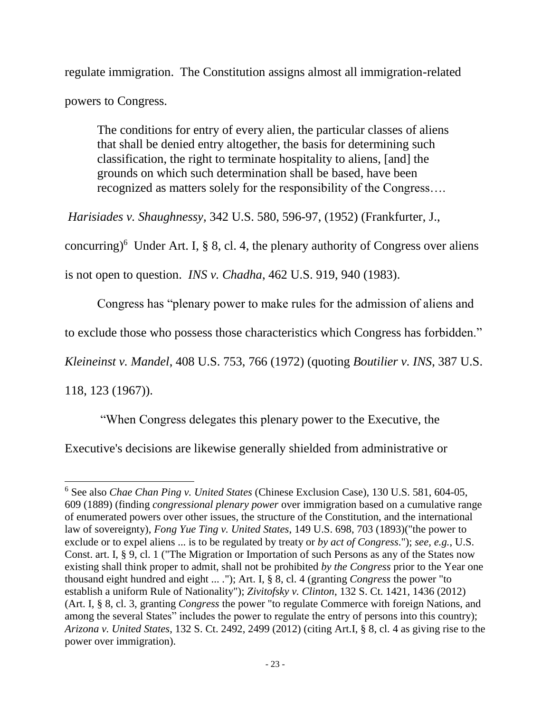regulate immigration. The Constitution assigns almost all immigration-related powers to Congress.

The conditions for entry of every alien, the particular classes of aliens that shall be denied entry altogether, the basis for determining such classification, the right to terminate hospitality to aliens, [and] the grounds on which such determination shall be based, have been recognized as matters solely for the responsibility of the Congress….

*Harisiades v. Shaughnessy,* 342 U.S. 580, 596-97, (1952) (Frankfurter, J.,

concurring)<sup>6</sup> Under Art. I, § 8, cl. 4, the plenary authority of Congress over aliens

is not open to question. *INS v. Chadha*, 462 U.S. 919, 940 (1983).

Congress has "plenary power to make rules for the admission of aliens and

to exclude those who possess those characteristics which Congress has forbidden."

*Kleineinst v. Mandel*, 408 U.S. 753, 766 (1972) (quoting *Boutilier v. INS*, 387 U.S.

118, 123 (1967)).

 $\overline{a}$ 

"When Congress delegates this plenary power to the Executive, the

Executive's decisions are likewise generally shielded from administrative or

<sup>6</sup> See also *Chae Chan Ping v. United States* (Chinese Exclusion Case), 130 U.S. 581, 604-05, 609 (1889) (finding *congressional plenary power* over immigration based on a cumulative range of enumerated powers over other issues, the structure of the Constitution, and the international law of sovereignty), *Fong Yue Ting v. United States*, 149 U.S. 698, 703 (1893)("the power to exclude or to expel aliens ... is to be regulated by treaty or *by act of Congress*."); *see, e.g.*, U.S. Const. art. I, § 9, cl. 1 ("The Migration or Importation of such Persons as any of the States now existing shall think proper to admit, shall not be prohibited *by the Congress* prior to the Year one thousand eight hundred and eight ... ."); Art. I, § 8, cl. 4 (granting *Congress* the power "to establish a uniform Rule of Nationality"); *Zivitofsky v. Clinton*, 132 S. Ct. 1421, 1436 (2012) (Art. I, § 8, cl. 3, granting *Congress* the power "to regulate Commerce with foreign Nations, and among the several States" includes the power to regulate the entry of persons into this country); *Arizona v. United States*, 132 S. Ct. 2492, 2499 (2012) (citing Art.I, § 8, cl. 4 as giving rise to the power over immigration).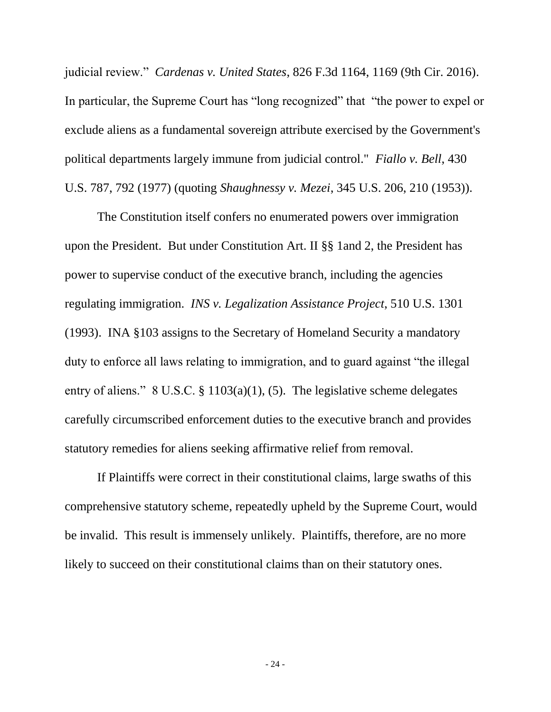judicial review." *Cardenas v. United States*, 826 F.3d 1164, 1169 (9th Cir. 2016). In particular, the Supreme Court has "long recognized" that "the power to expel or exclude aliens as a fundamental sovereign attribute exercised by the Government's political departments largely immune from judicial control." *Fiallo v. Bell*, 430 U.S. 787, 792 (1977) (quoting *Shaughnessy v. Mezei*, 345 U.S. 206, 210 (1953)).

The Constitution itself confers no enumerated powers over immigration upon the President. But under Constitution Art. II §§ 1and 2, the President has power to supervise conduct of the executive branch, including the agencies regulating immigration. *INS v. Legalization Assistance Project*, 510 U.S. 1301 (1993). INA §103 assigns to the Secretary of Homeland Security a mandatory duty to enforce all laws relating to immigration, and to guard against "the illegal entry of aliens." 8 U.S.C. § 1103(a)(1), (5). The legislative scheme delegates carefully circumscribed enforcement duties to the executive branch and provides statutory remedies for aliens seeking affirmative relief from removal.

If Plaintiffs were correct in their constitutional claims, large swaths of this comprehensive statutory scheme, repeatedly upheld by the Supreme Court, would be invalid. This result is immensely unlikely. Plaintiffs, therefore, are no more likely to succeed on their constitutional claims than on their statutory ones.